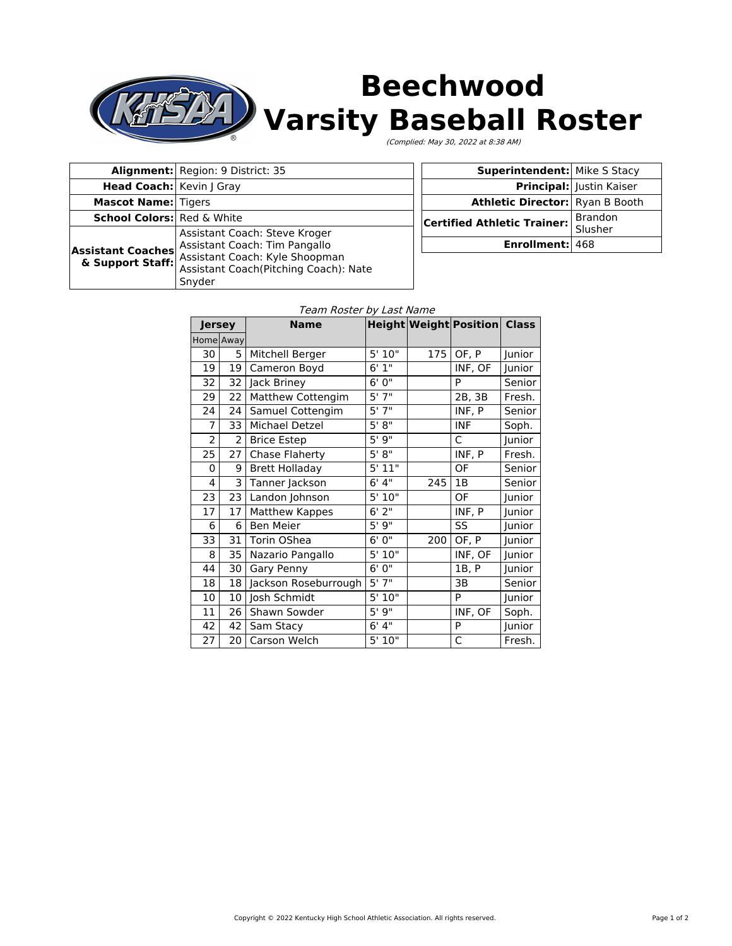

## **Beechwood Varsity Baseball Roster**

(Complied: May 30, 2022 at 8:38 AM)

|                                              | Alignment: Region: 9 District: 35                                                                                                                   |  |  |
|----------------------------------------------|-----------------------------------------------------------------------------------------------------------------------------------------------------|--|--|
| Head Coach: Kevin   Gray                     |                                                                                                                                                     |  |  |
| <b>Mascot Name: Tigers</b>                   |                                                                                                                                                     |  |  |
| <b>School Colors:</b> Red & White            |                                                                                                                                                     |  |  |
| <b>Assistant Coaches</b><br>& Support Staff: | Assistant Coach: Steve Kroger<br>Assistant Coach: Tim Pangallo<br>Assistant Coach: Kyle Shoopman<br>Assistant Coach(Pitching Coach): Nate<br>Snyder |  |  |

| <b>Superintendent:</b> Mike S Stacy    |                           |  |  |
|----------------------------------------|---------------------------|--|--|
|                                        | Principal: Justin Kaiser  |  |  |
| <b>Athletic Director:</b> Ryan B Booth |                           |  |  |
| <b>Certified Athletic Trainer:</b>     | <b>Brandon</b><br>Slusher |  |  |
| Enrollment: 468                        |                           |  |  |

## Team Roster by Last Name

| <b>Jersey</b>  |    | <b>Name</b>           |        |     | <b>Height Weight Position</b> | <b>Class</b> |
|----------------|----|-----------------------|--------|-----|-------------------------------|--------------|
| Home Away      |    |                       |        |     |                               |              |
| 30             | 5  | Mitchell Berger       | 5'10"  | 175 | OF, P                         | Junior       |
| 19             | 19 | Cameron Boyd          | 6'1''  |     | INF, OF                       | Junior       |
| 32             | 32 | Jack Briney           | 6'0''  |     | P                             | Senior       |
| 29             | 22 | Matthew Cottengim     | 5'7''  |     | 2B, 3B                        | Fresh.       |
| 24             | 24 | Samuel Cottengim      | 5'7''  |     | INF, P                        | Senior       |
| $\overline{7}$ | 33 | Michael Detzel        | 5' 8'' |     | <b>INF</b>                    | Soph.        |
| 2              | 2  | <b>Brice Estep</b>    | 5'9''  |     | C                             | Junior       |
| 25             | 27 | Chase Flaherty        | 5' 8'' |     | INF, P                        | Fresh.       |
| 0              | 9  | <b>Brett Holladay</b> | 5'11"  |     | OF                            | Senior       |
| 4              | 3  | Tanner Jackson        | 6' 4'' | 245 | 1B                            | Senior       |
| 23             | 23 | Landon Johnson        | 5'10"  |     | OF                            | Junior       |
| 17             | 17 | <b>Matthew Kappes</b> | 6'2''  |     | INF, P                        | Junior       |
| 6              | 6  | <b>Ben Meier</b>      | 5'9''  |     | SS                            | Junior       |
| 33             | 31 | Torin OShea           | 6'0''  | 200 | OF, P                         | Junior       |
| 8              | 35 | Nazario Pangallo      | 5' 10" |     | INF, OF                       | Junior       |
| 44             | 30 | Gary Penny            | 6'0''  |     | 1B, P                         | Junior       |
| 18             | 18 | Jackson Roseburrough  | 5'7''  |     | 3B                            | Senior       |
| 10             | 10 | Josh Schmidt          | 5'10"  |     | P                             | Junior       |
| 11             | 26 | Shawn Sowder          | 5'9''  |     | INF, OF                       | Soph.        |
| 42             | 42 | Sam Stacy             | 6' 4'' |     | P                             | Junior       |
| 27             | 20 | Carson Welch          | 5'10"  |     | C                             | Fresh.       |